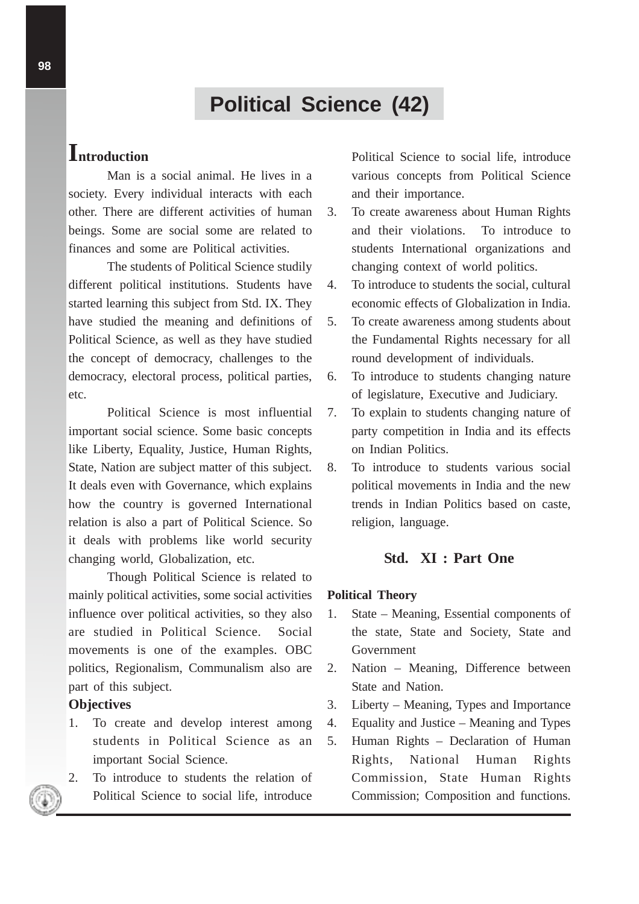# **Political Science (42)**

## **Introduction**

Man is a social animal. He lives in a society. Every individual interacts with each other. There are different activities of human beings. Some are social some are related to finances and some are Political activities.

The students of Political Science studily different political institutions. Students have started learning this subject from Std. IX. They have studied the meaning and definitions of Political Science, as well as they have studied the concept of democracy, challenges to the democracy, electoral process, political parties, etc.

Political Science is most influential important social science. Some basic concepts like Liberty, Equality, Justice, Human Rights, State, Nation are subject matter of this subject. It deals even with Governance, which explains how the country is governed International relation is also a part of Political Science. So it deals with problems like world security changing world, Globalization, etc.

Though Political Science is related to mainly political activities, some social activities influence over political activities, so they also are studied in Political Science. Social movements is one of the examples. OBC politics, Regionalism, Communalism also are part of this subject.

## **Objectives**

- 1. To create and develop interest among students in Political Science as an important Social Science.
- 2. To introduce to students the relation of Political Science to social life, introduce

Political Science to social life, introduce various concepts from Political Science and their importance.

- 3. To create awareness about Human Rights and their violations. To introduce to students International organizations and changing context of world politics.
- 4. To introduce to students the social, cultural economic effects of Globalization in India.
- 5. To create awareness among students about the Fundamental Rights necessary for all round development of individuals.
- 6. To introduce to students changing nature of legislature, Executive and Judiciary.
- 7. To explain to students changing nature of party competition in India and its effects on Indian Politics.
- 8. To introduce to students various social political movements in India and the new trends in Indian Politics based on caste, religion, language.

## **Std. XI : Part One**

#### **Political Theory**

- 1. State Meaning, Essential components of the state, State and Society, State and Government
- 2. Nation Meaning, Difference between State and Nation.
- 3. Liberty Meaning, Types and Importance
- 4. Equality and Justice Meaning and Types
- 5. Human Rights Declaration of Human Rights, National Human Rights Commission, State Human Rights Commission; Composition and functions.